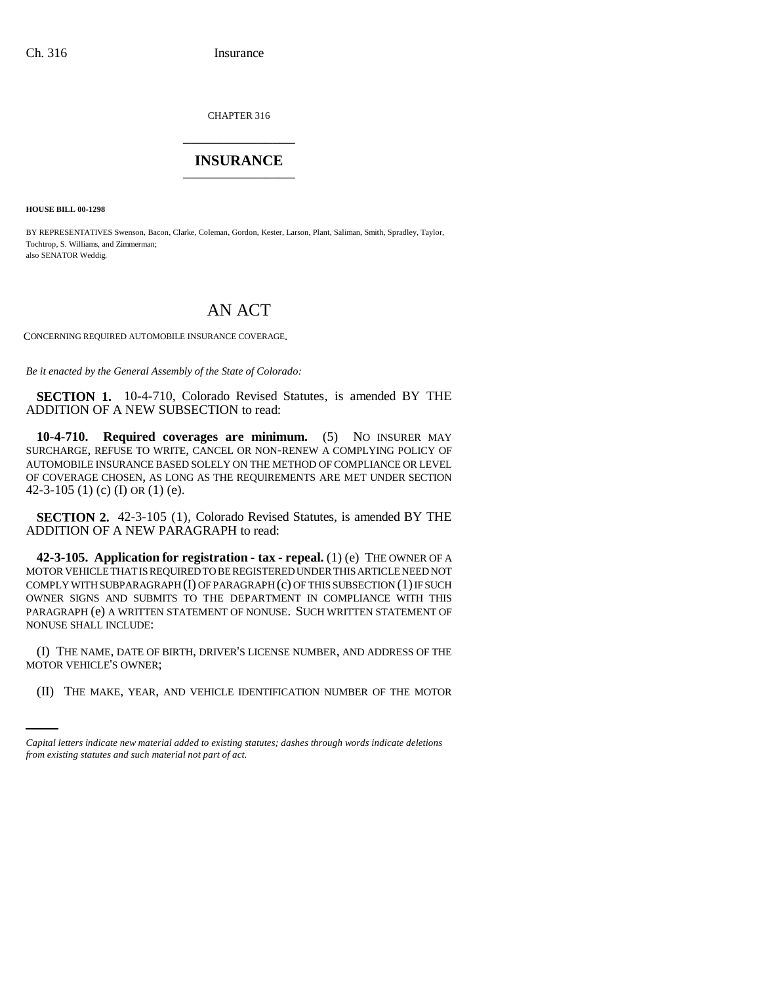CHAPTER 316 \_\_\_\_\_\_\_\_\_\_\_\_\_\_\_

## **INSURANCE** \_\_\_\_\_\_\_\_\_\_\_\_\_\_\_

**HOUSE BILL 00-1298**

BY REPRESENTATIVES Swenson, Bacon, Clarke, Coleman, Gordon, Kester, Larson, Plant, Saliman, Smith, Spradley, Taylor, Tochtrop, S. Williams, and Zimmerman; also SENATOR Weddig.

## AN ACT

CONCERNING REQUIRED AUTOMOBILE INSURANCE COVERAGE.

*Be it enacted by the General Assembly of the State of Colorado:*

**SECTION 1.** 10-4-710, Colorado Revised Statutes, is amended BY THE ADDITION OF A NEW SUBSECTION to read:

**10-4-710. Required coverages are minimum.** (5) NO INSURER MAY SURCHARGE, REFUSE TO WRITE, CANCEL OR NON-RENEW A COMPLYING POLICY OF AUTOMOBILE INSURANCE BASED SOLELY ON THE METHOD OF COMPLIANCE OR LEVEL OF COVERAGE CHOSEN, AS LONG AS THE REQUIREMENTS ARE MET UNDER SECTION 42-3-105 (1) (c) (I) OR (1) (e).

**SECTION 2.** 42-3-105 (1), Colorado Revised Statutes, is amended BY THE ADDITION OF A NEW PARAGRAPH to read:

**42-3-105. Application for registration - tax - repeal.** (1) (e) THE OWNER OF A MOTOR VEHICLE THAT IS REQUIRED TO BE REGISTERED UNDER THIS ARTICLE NEED NOT COMPLY WITH SUBPARAGRAPH (I) OF PARAGRAPH (c) OF THIS SUBSECTION (1) IF SUCH OWNER SIGNS AND SUBMITS TO THE DEPARTMENT IN COMPLIANCE WITH THIS PARAGRAPH (e) A WRITTEN STATEMENT OF NONUSE. SUCH WRITTEN STATEMENT OF NONUSE SHALL INCLUDE:

MOTOR VEHICLE'S OWNER; (I) THE NAME, DATE OF BIRTH, DRIVER'S LICENSE NUMBER, AND ADDRESS OF THE

(II) THE MAKE, YEAR, AND VEHICLE IDENTIFICATION NUMBER OF THE MOTOR

*Capital letters indicate new material added to existing statutes; dashes through words indicate deletions from existing statutes and such material not part of act.*